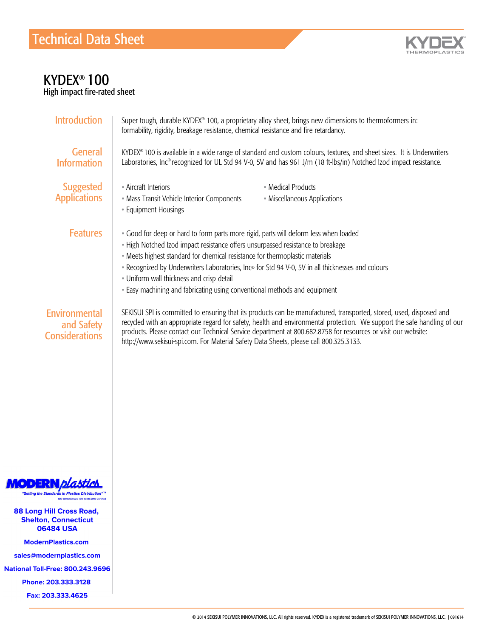

## KYDEX® 100

High impact fire-rated sheet

| <b>Introduction</b>                                  | Super tough, durable KYDEX® 100, a proprietary alloy sheet, brings new dimensions to thermoformers in:<br>formability, rigidity, breakage resistance, chemical resistance and fire retardancy.                                                                                                                                                                                                                                                                                         |  |  |
|------------------------------------------------------|----------------------------------------------------------------------------------------------------------------------------------------------------------------------------------------------------------------------------------------------------------------------------------------------------------------------------------------------------------------------------------------------------------------------------------------------------------------------------------------|--|--|
| <b>General</b><br><b>Information</b>                 | KYDEX® 100 is available in a wide range of standard and custom colours, textures, and sheet sizes. It is Underwriters<br>Laboratories, Inc® recognized for UL Std 94 V-0, 5V and has 961 J/m (18 ft-lbs/in) Notched Izod impact resistance.                                                                                                                                                                                                                                            |  |  |
| <b>Suggested</b><br><b>Applications</b>              | • Aircraft Interiors<br>• Medical Products<br>• Mass Transit Vehicle Interior Components<br>• Miscellaneous Applications<br>• Equipment Housings                                                                                                                                                                                                                                                                                                                                       |  |  |
| <b>Features</b>                                      | · Good for deep or hard to form parts more rigid, parts will deform less when loaded<br>• High Notched Izod impact resistance offers unsurpassed resistance to breakage<br>• Meets highest standard for chemical resistance for thermoplastic materials<br>. Recognized by Underwriters Laboratories, Inc® for Std 94 V-0, 5V in all thicknesses and colours<br>• Uniform wall thickness and crisp detail<br>• Easy machining and fabricating using conventional methods and equipment |  |  |
| Environmental<br>and Safety<br><b>Considerations</b> | SEKISUI SPI is committed to ensuring that its products can be manufactured, transported, stored, used, disposed and<br>recycled with an appropriate regard for safety, health and environmental protection. We support the safe handling of our<br>products. Please contact our Technical Service department at 800.682.8758 for resources or visit our website:<br>http://www.sekisui-spi.com. For Material Safety Data Sheets, please call 800.325.3133.                             |  |  |



88 Long Hill Cross Road, **Shelton, Connecticut** onton, connecticut **UU404 USA** 

Customer Service

ModernPlastics.com

Technical Service swmouernpia

Fax: +1.570.387.8722  $\frac{1}{100}$ . Tee: 000.245.

Phone: 203.333.3128

Fax: 203.333.4625